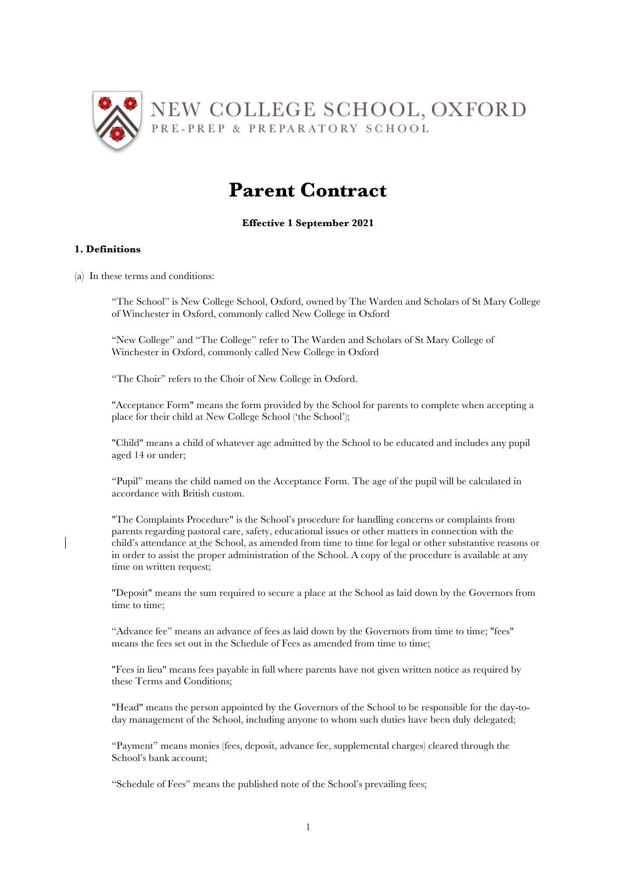

# **Parent Contract**

# **Effective 1 September 2021**

## **1. Definitions**

(a) In these terms and conditions:

"The School" is New College School, Oxford, owned by The Warden and Scholars of St Mary College of Winchester in Oxford, commonly called New College in Oxford

"New College" and "The College" refer to The Warden and Scholars of St Mary College of Winchester in Oxford, commonly called New College in Oxford

"The Choir" refers to the Choir of New College in Oxford.

"Acceptance Form" means the form provided by the School for parents to complete when accepting a place for their child at New College School ('the School');

"Child" means a child of whatever age admitted by the School to be educated and includes any pupil aged 14 or under;

"Pupil" means the child named on the Acceptance Form. The age of the pupil will be calculated in accordance with British custom.

"The Complaints Procedure" is the School's procedure for handling concerns or complaints from parents regarding pastoral care, safety, educational issues or other matters in connection with the child's attendance at the School, as amended from time to time for legal or other substantive reasons or in order to assist the proper administration of the School. A copy of the procedure is available at any time on written request:

"Deposit" means the sum required to secure a place at the School as laid down by the Governors from time to time;

"Advance fee" means an advance of fees as laid down by the Governors from time to time; "fees" means the fees set out in the Schedule of Fees as amended from time to time;

"Fees in lieu" means fees payable in full where parents have not given written notice as required by these Terms and Conditions;

"Head" means the person appointed by the Governors of the School to be responsible for the day-today management of the School, including anyone to whom such duties have been duly delegated;

"Payment" means monies (fees, deposit, advance fee, supplemental charges) cleared through the School's bank account;

"Schedule of Fees" means the published note of the School's prevailing fees;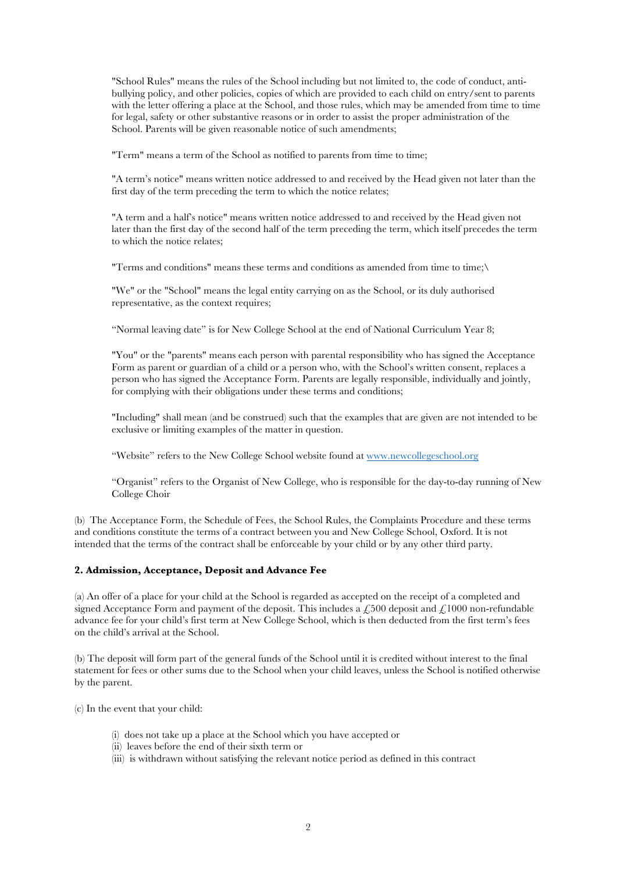"School Rules" means the rules of the School including but not limited to, the code of conduct, antibullying policy, and other policies, copies of which are provided to each child on entry/sent to parents with the letter offering a place at the School, and those rules, which may be amended from time to time for legal, safety or other substantive reasons or in order to assist the proper administration of the School. Parents will be given reasonable notice of such amendments;

"Term" means a term of the School as notified to parents from time to time;

"A term's notice" means written notice addressed to and received by the Head given not later than the first day of the term preceding the term to which the notice relates;

"A term and a half's notice" means written notice addressed to and received by the Head given not later than the first day of the second half of the term preceding the term, which itself precedes the term to which the notice relates;

"Terms and conditions" means these terms and conditions as amended from time to time;\

"We" or the "School" means the legal entity carrying on as the School, or its duly authorised representative, as the context requires;

"Normal leaving date" is for New College School at the end of National Curriculum Year 8;

"You" or the "parents" means each person with parental responsibility who has signed the Acceptance Form as parent or guardian of a child or a person who, with the School's written consent, replaces a person who has signed the Acceptance Form. Parents are legally responsible, individually and jointly, for complying with their obligations under these terms and conditions;

"Including" shall mean (and be construed) such that the examples that are given are not intended to be exclusive or limiting examples of the matter in question.

"Website" refers to the New College School website found at www.newcollegeschool.org

"Organist" refers to the Organist of New College, who is responsible for the day-to-day running of New College Choir

(b) The Acceptance Form, the Schedule of Fees, the School Rules, the Complaints Procedure and these terms and conditions constitute the terms of a contract between you and New College School, Oxford. It is not intended that the terms of the contract shall be enforceable by your child or by any other third party.

#### **2. Admission, Acceptance, Deposit and Advance Fee**

(a) An offer of a place for your child at the School is regarded as accepted on the receipt of a completed and signed Acceptance Form and payment of the deposit. This includes a  $\angle 500$  deposit and  $\angle 1000$  non-refundable advance fee for your child's first term at New College School, which is then deducted from the first term's fees on the child's arrival at the School.

(b) The deposit will form part of the general funds of the School until it is credited without interest to the final statement for fees or other sums due to the School when your child leaves, unless the School is notified otherwise by the parent.

(c) In the event that your child:

- (i) does not take up a place at the School which you have accepted or
- (ii) leaves before the end of their sixth term or
- (iii) is withdrawn without satisfying the relevant notice period as defined in this contract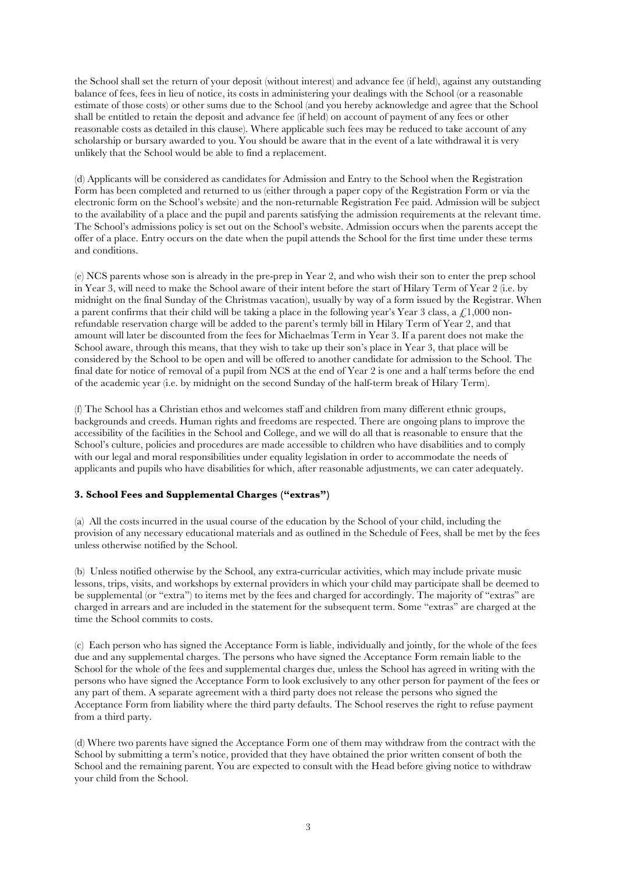the School shall set the return of your deposit (without interest) and advance fee (if held), against any outstanding balance of fees, fees in lieu of notice, its costs in administering your dealings with the School (or a reasonable estimate of those costs) or other sums due to the School (and you hereby acknowledge and agree that the School shall be entitled to retain the deposit and advance fee (if held) on account of payment of any fees or other reasonable costs as detailed in this clause). Where applicable such fees may be reduced to take account of any scholarship or bursary awarded to you. You should be aware that in the event of a late withdrawal it is very unlikely that the School would be able to find a replacement.

(d) Applicants will be considered as candidates for Admission and Entry to the School when the Registration Form has been completed and returned to us (either through a paper copy of the Registration Form or via the electronic form on the School's website) and the non-returnable Registration Fee paid. Admission will be subject to the availability of a place and the pupil and parents satisfying the admission requirements at the relevant time. The School's admissions policy is set out on the School's website. Admission occurs when the parents accept the offer of a place. Entry occurs on the date when the pupil attends the School for the first time under these terms and conditions.

(e) NCS parents whose son is already in the pre-prep in Year 2, and who wish their son to enter the prep school in Year 3, will need to make the School aware of their intent before the start of Hilary Term of Year 2 (i.e. by midnight on the final Sunday of the Christmas vacation), usually by way of a form issued by the Registrar. When a parent confirms that their child will be taking a place in the following year's Year 3 class, a  $\angle 1,000$  nonrefundable reservation charge will be added to the parent's termly bill in Hilary Term of Year 2, and that amount will later be discounted from the fees for Michaelmas Term in Year 3. If a parent does not make the School aware, through this means, that they wish to take up their son's place in Year 3, that place will be considered by the School to be open and will be offered to another candidate for admission to the School. The final date for notice of removal of a pupil from NCS at the end of Year 2 is one and a half terms before the end of the academic year (i.e. by midnight on the second Sunday of the half-term break of Hilary Term).

(f) The School has a Christian ethos and welcomes staff and children from many different ethnic groups, backgrounds and creeds. Human rights and freedoms are respected. There are ongoing plans to improve the accessibility of the facilities in the School and College, and we will do all that is reasonable to ensure that the School's culture, policies and procedures are made accessible to children who have disabilities and to comply with our legal and moral responsibilities under equality legislation in order to accommodate the needs of applicants and pupils who have disabilities for which, after reasonable adjustments, we can cater adequately.

## **3. School Fees and Supplemental Charges ("extras")**

(a) All the costs incurred in the usual course of the education by the School of your child, including the provision of any necessary educational materials and as outlined in the Schedule of Fees, shall be met by the fees unless otherwise notified by the School.

(b) Unless notified otherwise by the School, any extra-curricular activities, which may include private music lessons, trips, visits, and workshops by external providers in which your child may participate shall be deemed to be supplemental (or "extra") to items met by the fees and charged for accordingly. The majority of "extras" are charged in arrears and are included in the statement for the subsequent term. Some "extras" are charged at the time the School commits to costs.

(c) Each person who has signed the Acceptance Form is liable, individually and jointly, for the whole of the fees due and any supplemental charges. The persons who have signed the Acceptance Form remain liable to the School for the whole of the fees and supplemental charges due, unless the School has agreed in writing with the persons who have signed the Acceptance Form to look exclusively to any other person for payment of the fees or any part of them. A separate agreement with a third party does not release the persons who signed the Acceptance Form from liability where the third party defaults. The School reserves the right to refuse payment from a third party.

(d) Where two parents have signed the Acceptance Form one of them may withdraw from the contract with the School by submitting a term's notice, provided that they have obtained the prior written consent of both the School and the remaining parent. You are expected to consult with the Head before giving notice to withdraw your child from the School.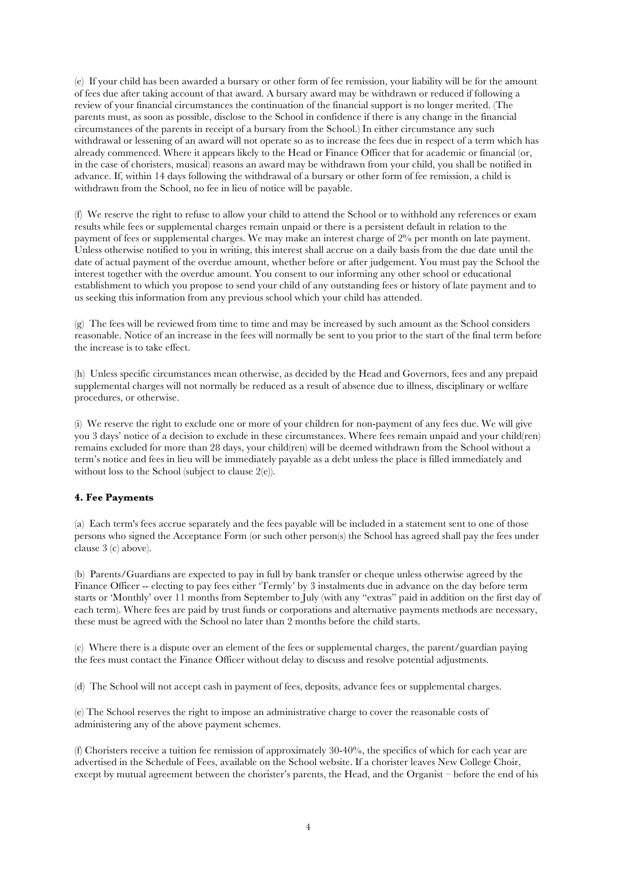(e) If your child has been awarded a bursary or other form of fee remission, your liability will be for the amount of fees due after taking account of that award. A bursary award may be withdrawn or reduced if following a review of your financial circumstances the continuation of the financial support is no longer merited. (The parents must, as soon as possible, disclose to the School in confidence if there is any change in the financial circumstances of the parents in receipt of a bursary from the School.) In either circumstance any such withdrawal or lessening of an award will not operate so as to increase the fees due in respect of a term which has already commenced. Where it appears likely to the Head or Finance Officer that for academic or financial (or, in the case of choristers, musical) reasons an award may be withdrawn from your child, you shall be notified in advance. If, within 14 days following the withdrawal of a bursary or other form of fee remission, a child is withdrawn from the School, no fee in lieu of notice will be payable.

(f) We reserve the right to refuse to allow your child to attend the School or to withhold any references or exam results while fees or supplemental charges remain unpaid or there is a persistent default in relation to the payment of fees or supplemental charges. We may make an interest charge of 2% per month on late payment. Unless otherwise notified to you in writing, this interest shall accrue on a daily basis from the due date until the date of actual payment of the overdue amount, whether before or after judgement. You must pay the School the interest together with the overdue amount. You consent to our informing any other school or educational establishment to which you propose to send your child of any outstanding fees or history of late payment and to us seeking this information from any previous school which your child has attended.

(g) The fees will be reviewed from time to time and may be increased by such amount as the School considers reasonable. Notice of an increase in the fees will normally be sent to you prior to the start of the final term before the increase is to take effect.

(h) Unless specific circumstances mean otherwise, as decided by the Head and Governors, fees and any prepaid supplemental charges will not normally be reduced as a result of absence due to illness, disciplinary or welfare procedures, or otherwise.

(i) We reserve the right to exclude one or more of your children for non-payment of any fees due. We will give you 3 days' notice of a decision to exclude in these circumstances. Where fees remain unpaid and your child(ren) remains excluded for more than 28 days, your child(ren) will be deemed withdrawn from the School without a term's notice and fees in lieu will be immediately payable as a debt unless the place is filled immediately and without loss to the School (subject to clause 2(e)).

## **4. Fee Payments**

(a) Each term's fees accrue separately and the fees payable will be included in a statement sent to one of those persons who signed the Acceptance Form (or such other person(s) the School has agreed shall pay the fees under clause 3 (c) above).

(b) Parents/Guardians are expected to pay in full by bank transfer or cheque unless otherwise agreed by the Finance Officer -- electing to pay fees either 'Termly' by 3 instalments due in advance on the day before term starts or 'Monthly' over 11 months from September to July (with any "extras" paid in addition on the first day of each term). Where fees are paid by trust funds or corporations and alternative payments methods are necessary, these must be agreed with the School no later than 2 months before the child starts.

(c) Where there is a dispute over an element of the fees or supplemental charges, the parent/guardian paying the fees must contact the Finance Officer without delay to discuss and resolve potential adjustments.

(d) The School will not accept cash in payment of fees, deposits, advance fees or supplemental charges.

(e) The School reserves the right to impose an administrative charge to cover the reasonable costs of administering any of the above payment schemes.

(f) Choristers receive a tuition fee remission of approximately 30-40%, the specifics of which for each year are advertised in the Schedule of Fees, available on the School website. If a chorister leaves New College Choir, except by mutual agreement between the chorister's parents, the Head, and the Organist – before the end of his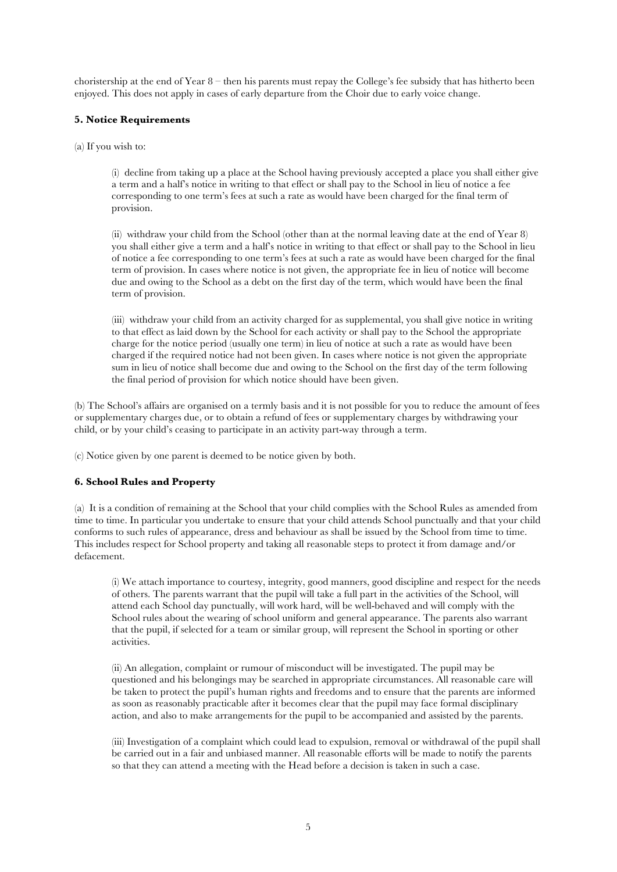choristership at the end of Year  $8$  – then his parents must repay the College's fee subsidy that has hitherto been enjoyed. This does not apply in cases of early departure from the Choir due to early voice change.

## **5. Notice Requirements**

(a) If you wish to:

(i) decline from taking up a place at the School having previously accepted a place you shall either give a term and a half's notice in writing to that effect or shall pay to the School in lieu of notice a fee corresponding to one term's fees at such a rate as would have been charged for the final term of provision.

(ii) withdraw your child from the School (other than at the normal leaving date at the end of Year 8) you shall either give a term and a half's notice in writing to that effect or shall pay to the School in lieu of notice a fee corresponding to one term's fees at such a rate as would have been charged for the final term of provision. In cases where notice is not given, the appropriate fee in lieu of notice will become due and owing to the School as a debt on the first day of the term, which would have been the final term of provision.

(iii) withdraw your child from an activity charged for as supplemental, you shall give notice in writing to that effect as laid down by the School for each activity or shall pay to the School the appropriate charge for the notice period (usually one term) in lieu of notice at such a rate as would have been charged if the required notice had not been given. In cases where notice is not given the appropriate sum in lieu of notice shall become due and owing to the School on the first day of the term following the final period of provision for which notice should have been given.

(b) The School's affairs are organised on a termly basis and it is not possible for you to reduce the amount of fees or supplementary charges due, or to obtain a refund of fees or supplementary charges by withdrawing your child, or by your child's ceasing to participate in an activity part-way through a term.

(c) Notice given by one parent is deemed to be notice given by both.

## **6. School Rules and Property**

(a) It is a condition of remaining at the School that your child complies with the School Rules as amended from time to time. In particular you undertake to ensure that your child attends School punctually and that your child conforms to such rules of appearance, dress and behaviour as shall be issued by the School from time to time. This includes respect for School property and taking all reasonable steps to protect it from damage and/or defacement.

(i) We attach importance to courtesy, integrity, good manners, good discipline and respect for the needs of others. The parents warrant that the pupil will take a full part in the activities of the School, will attend each School day punctually, will work hard, will be well-behaved and will comply with the School rules about the wearing of school uniform and general appearance. The parents also warrant that the pupil, if selected for a team or similar group, will represent the School in sporting or other activities.

(ii) An allegation, complaint or rumour of misconduct will be investigated. The pupil may be questioned and his belongings may be searched in appropriate circumstances. All reasonable care will be taken to protect the pupil's human rights and freedoms and to ensure that the parents are informed as soon as reasonably practicable after it becomes clear that the pupil may face formal disciplinary action, and also to make arrangements for the pupil to be accompanied and assisted by the parents.

(iii) Investigation of a complaint which could lead to expulsion, removal or withdrawal of the pupil shall be carried out in a fair and unbiased manner. All reasonable efforts will be made to notify the parents so that they can attend a meeting with the Head before a decision is taken in such a case.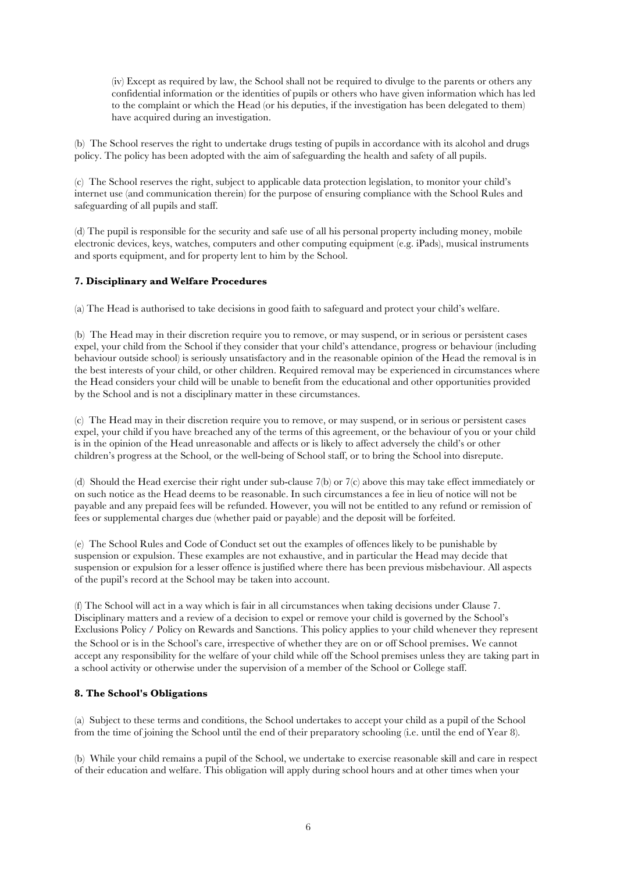(iv) Except as required by law, the School shall not be required to divulge to the parents or others any confidential information or the identities of pupils or others who have given information which has led to the complaint or which the Head (or his deputies, if the investigation has been delegated to them) have acquired during an investigation.

(b) The School reserves the right to undertake drugs testing of pupils in accordance with its alcohol and drugs policy. The policy has been adopted with the aim of safeguarding the health and safety of all pupils.

(c) The School reserves the right, subject to applicable data protection legislation, to monitor your child's internet use (and communication therein) for the purpose of ensuring compliance with the School Rules and safeguarding of all pupils and staff.

(d) The pupil is responsible for the security and safe use of all his personal property including money, mobile electronic devices, keys, watches, computers and other computing equipment (e.g. iPads), musical instruments and sports equipment, and for property lent to him by the School.

## **7. Disciplinary and Welfare Procedures**

(a) The Head is authorised to take decisions in good faith to safeguard and protect your child's welfare.

(b) The Head may in their discretion require you to remove, or may suspend, or in serious or persistent cases expel, your child from the School if they consider that your child's attendance, progress or behaviour (including behaviour outside school) is seriously unsatisfactory and in the reasonable opinion of the Head the removal is in the best interests of your child, or other children. Required removal may be experienced in circumstances where the Head considers your child will be unable to benefit from the educational and other opportunities provided by the School and is not a disciplinary matter in these circumstances.

(c) The Head may in their discretion require you to remove, or may suspend, or in serious or persistent cases expel, your child if you have breached any of the terms of this agreement, or the behaviour of you or your child is in the opinion of the Head unreasonable and affects or is likely to affect adversely the child's or other children's progress at the School, or the well-being of School staff, or to bring the School into disrepute.

(d) Should the Head exercise their right under sub-clause 7(b) or 7(c) above this may take effect immediately or on such notice as the Head deems to be reasonable. In such circumstances a fee in lieu of notice will not be payable and any prepaid fees will be refunded. However, you will not be entitled to any refund or remission of fees or supplemental charges due (whether paid or payable) and the deposit will be forfeited.

(e) The School Rules and Code of Conduct set out the examples of offences likely to be punishable by suspension or expulsion. These examples are not exhaustive, and in particular the Head may decide that suspension or expulsion for a lesser offence is justified where there has been previous misbehaviour. All aspects of the pupil's record at the School may be taken into account.

(f) The School will act in a way which is fair in all circumstances when taking decisions under Clause 7. Disciplinary matters and a review of a decision to expel or remove your child is governed by the School's Exclusions Policy / Policy on Rewards and Sanctions. This policy applies to your child whenever they represent the School or is in the School's care, irrespective of whether they are on or off School premises. We cannot accept any responsibility for the welfare of your child while off the School premises unless they are taking part in a school activity or otherwise under the supervision of a member of the School or College staff.

## **8. The School's Obligations**

(a) Subject to these terms and conditions, the School undertakes to accept your child as a pupil of the School from the time of joining the School until the end of their preparatory schooling (i.e. until the end of Year 8).

(b) While your child remains a pupil of the School, we undertake to exercise reasonable skill and care in respect of their education and welfare. This obligation will apply during school hours and at other times when your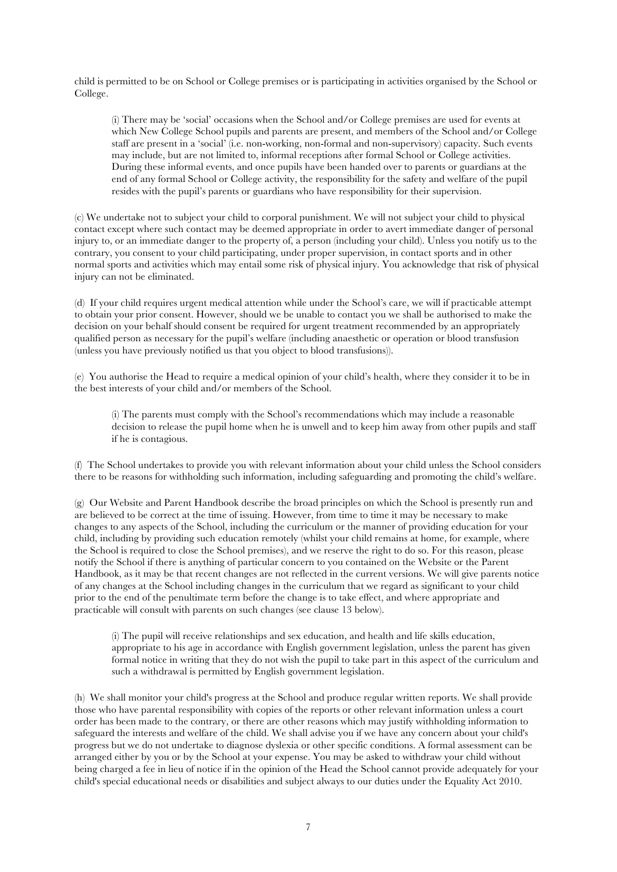child is permitted to be on School or College premises or is participating in activities organised by the School or College.

(i) There may be 'social' occasions when the School and/or College premises are used for events at which New College School pupils and parents are present, and members of the School and/or College staff are present in a 'social' (i.e. non-working, non-formal and non-supervisory) capacity. Such events may include, but are not limited to, informal receptions after formal School or College activities. During these informal events, and once pupils have been handed over to parents or guardians at the end of any formal School or College activity, the responsibility for the safety and welfare of the pupil resides with the pupil's parents or guardians who have responsibility for their supervision.

(c) We undertake not to subject your child to corporal punishment. We will not subject your child to physical contact except where such contact may be deemed appropriate in order to avert immediate danger of personal injury to, or an immediate danger to the property of, a person (including your child). Unless you notify us to the contrary, you consent to your child participating, under proper supervision, in contact sports and in other normal sports and activities which may entail some risk of physical injury. You acknowledge that risk of physical injury can not be eliminated.

(d) If your child requires urgent medical attention while under the School's care, we will if practicable attempt to obtain your prior consent. However, should we be unable to contact you we shall be authorised to make the decision on your behalf should consent be required for urgent treatment recommended by an appropriately qualified person as necessary for the pupil's welfare (including anaesthetic or operation or blood transfusion (unless you have previously notified us that you object to blood transfusions)).

(e) You authorise the Head to require a medical opinion of your child's health, where they consider it to be in the best interests of your child and/or members of the School.

(i) The parents must comply with the School's recommendations which may include a reasonable decision to release the pupil home when he is unwell and to keep him away from other pupils and staff if he is contagious.

(f) The School undertakes to provide you with relevant information about your child unless the School considers there to be reasons for withholding such information, including safeguarding and promoting the child's welfare.

(g) Our Website and Parent Handbook describe the broad principles on which the School is presently run and are believed to be correct at the time of issuing. However, from time to time it may be necessary to make changes to any aspects of the School, including the curriculum or the manner of providing education for your child, including by providing such education remotely (whilst your child remains at home, for example, where the School is required to close the School premises), and we reserve the right to do so. For this reason, please notify the School if there is anything of particular concern to you contained on the Website or the Parent Handbook, as it may be that recent changes are not reflected in the current versions. We will give parents notice of any changes at the School including changes in the curriculum that we regard as significant to your child prior to the end of the penultimate term before the change is to take effect, and where appropriate and practicable will consult with parents on such changes (see clause 13 below).

(i) The pupil will receive relationships and sex education, and health and life skills education, appropriate to his age in accordance with English government legislation, unless the parent has given formal notice in writing that they do not wish the pupil to take part in this aspect of the curriculum and such a withdrawal is permitted by English government legislation.

(h) We shall monitor your child's progress at the School and produce regular written reports. We shall provide those who have parental responsibility with copies of the reports or other relevant information unless a court order has been made to the contrary, or there are other reasons which may justify withholding information to safeguard the interests and welfare of the child. We shall advise you if we have any concern about your child's progress but we do not undertake to diagnose dyslexia or other specific conditions. A formal assessment can be arranged either by you or by the School at your expense. You may be asked to withdraw your child without being charged a fee in lieu of notice if in the opinion of the Head the School cannot provide adequately for your child's special educational needs or disabilities and subject always to our duties under the Equality Act 2010.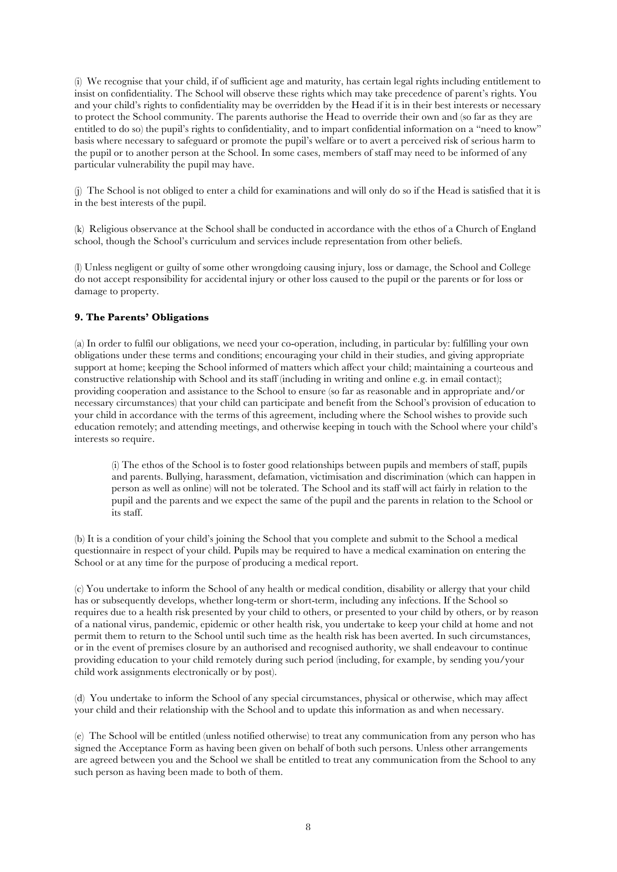(i) We recognise that your child, if of sufficient age and maturity, has certain legal rights including entitlement to insist on confidentiality. The School will observe these rights which may take precedence of parent's rights. You and your child's rights to confidentiality may be overridden by the Head if it is in their best interests or necessary to protect the School community. The parents authorise the Head to override their own and (so far as they are entitled to do so) the pupil's rights to confidentiality, and to impart confidential information on a "need to know" basis where necessary to safeguard or promote the pupil's welfare or to avert a perceived risk of serious harm to the pupil or to another person at the School. In some cases, members of staff may need to be informed of any particular vulnerability the pupil may have.

(j) The School is not obliged to enter a child for examinations and will only do so if the Head is satisfied that it is in the best interests of the pupil.

(k) Religious observance at the School shall be conducted in accordance with the ethos of a Church of England school, though the School's curriculum and services include representation from other beliefs.

(l) Unless negligent or guilty of some other wrongdoing causing injury, loss or damage, the School and College do not accept responsibility for accidental injury or other loss caused to the pupil or the parents or for loss or damage to property.

## **9. The Parents' Obligations**

(a) In order to fulfil our obligations, we need your co-operation, including, in particular by: fulfilling your own obligations under these terms and conditions; encouraging your child in their studies, and giving appropriate support at home; keeping the School informed of matters which affect your child; maintaining a courteous and constructive relationship with School and its staff (including in writing and online e.g. in email contact); providing cooperation and assistance to the School to ensure (so far as reasonable and in appropriate and/or necessary circumstances) that your child can participate and benefit from the School's provision of education to your child in accordance with the terms of this agreement, including where the School wishes to provide such education remotely; and attending meetings, and otherwise keeping in touch with the School where your child's interests so require.

(i) The ethos of the School is to foster good relationships between pupils and members of staff, pupils and parents. Bullying, harassment, defamation, victimisation and discrimination (which can happen in person as well as online) will not be tolerated. The School and its staff will act fairly in relation to the pupil and the parents and we expect the same of the pupil and the parents in relation to the School or its staff.

(b) It is a condition of your child's joining the School that you complete and submit to the School a medical questionnaire in respect of your child. Pupils may be required to have a medical examination on entering the School or at any time for the purpose of producing a medical report.

(c) You undertake to inform the School of any health or medical condition, disability or allergy that your child has or subsequently develops, whether long-term or short-term, including any infections. If the School so requires due to a health risk presented by your child to others, or presented to your child by others, or by reason of a national virus, pandemic, epidemic or other health risk, you undertake to keep your child at home and not permit them to return to the School until such time as the health risk has been averted. In such circumstances, or in the event of premises closure by an authorised and recognised authority, we shall endeavour to continue providing education to your child remotely during such period (including, for example, by sending you/your child work assignments electronically or by post).

(d) You undertake to inform the School of any special circumstances, physical or otherwise, which may affect your child and their relationship with the School and to update this information as and when necessary.

(e) The School will be entitled (unless notified otherwise) to treat any communication from any person who has signed the Acceptance Form as having been given on behalf of both such persons. Unless other arrangements are agreed between you and the School we shall be entitled to treat any communication from the School to any such person as having been made to both of them.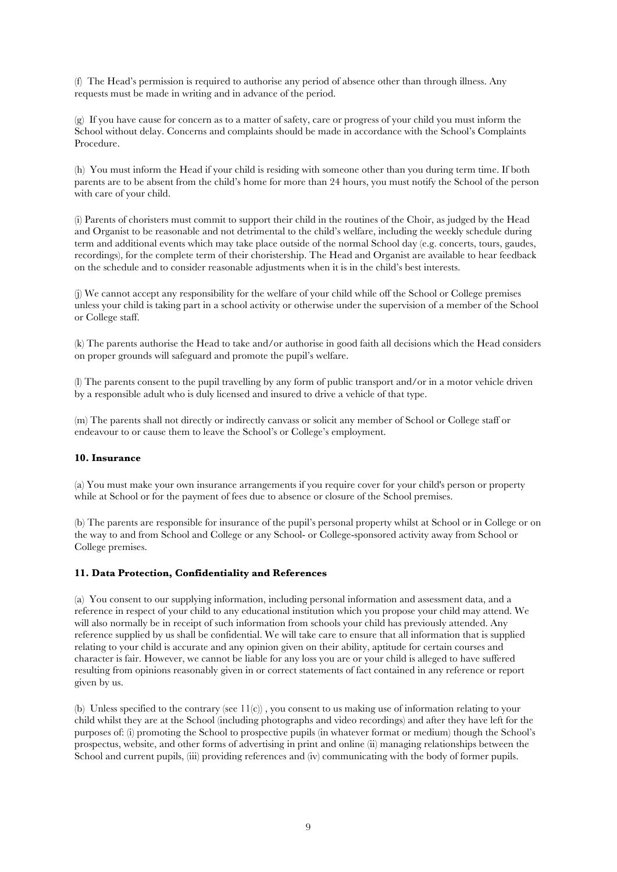(f) The Head's permission is required to authorise any period of absence other than through illness. Any requests must be made in writing and in advance of the period.

(g) If you have cause for concern as to a matter of safety, care or progress of your child you must inform the School without delay. Concerns and complaints should be made in accordance with the School's Complaints Procedure.

(h) You must inform the Head if your child is residing with someone other than you during term time. If both parents are to be absent from the child's home for more than 24 hours, you must notify the School of the person with care of your child.

(i) Parents of choristers must commit to support their child in the routines of the Choir, as judged by the Head and Organist to be reasonable and not detrimental to the child's welfare, including the weekly schedule during term and additional events which may take place outside of the normal School day (e.g. concerts, tours, gaudes, recordings), for the complete term of their choristership. The Head and Organist are available to hear feedback on the schedule and to consider reasonable adjustments when it is in the child's best interests.

(j) We cannot accept any responsibility for the welfare of your child while off the School or College premises unless your child is taking part in a school activity or otherwise under the supervision of a member of the School or College staff.

(k) The parents authorise the Head to take and/or authorise in good faith all decisions which the Head considers on proper grounds will safeguard and promote the pupil's welfare.

(l) The parents consent to the pupil travelling by any form of public transport and/or in a motor vehicle driven by a responsible adult who is duly licensed and insured to drive a vehicle of that type.

(m) The parents shall not directly or indirectly canvass or solicit any member of School or College staff or endeavour to or cause them to leave the School's or College's employment.

#### **10. Insurance**

(a) You must make your own insurance arrangements if you require cover for your child's person or property while at School or for the payment of fees due to absence or closure of the School premises.

(b) The parents are responsible for insurance of the pupil's personal property whilst at School or in College or on the way to and from School and College or any School- or College-sponsored activity away from School or College premises.

## **11. Data Protection, Confidentiality and References**

(a) You consent to our supplying information, including personal information and assessment data, and a reference in respect of your child to any educational institution which you propose your child may attend. We will also normally be in receipt of such information from schools your child has previously attended. Any reference supplied by us shall be confidential. We will take care to ensure that all information that is supplied relating to your child is accurate and any opinion given on their ability, aptitude for certain courses and character is fair. However, we cannot be liable for any loss you are or your child is alleged to have suffered resulting from opinions reasonably given in or correct statements of fact contained in any reference or report given by us.

(b) Unless specified to the contrary (see 11(c)) , you consent to us making use of information relating to your child whilst they are at the School (including photographs and video recordings) and after they have left for the purposes of: (i) promoting the School to prospective pupils (in whatever format or medium) though the School's prospectus, website, and other forms of advertising in print and online (ii) managing relationships between the School and current pupils, (iii) providing references and (iv) communicating with the body of former pupils.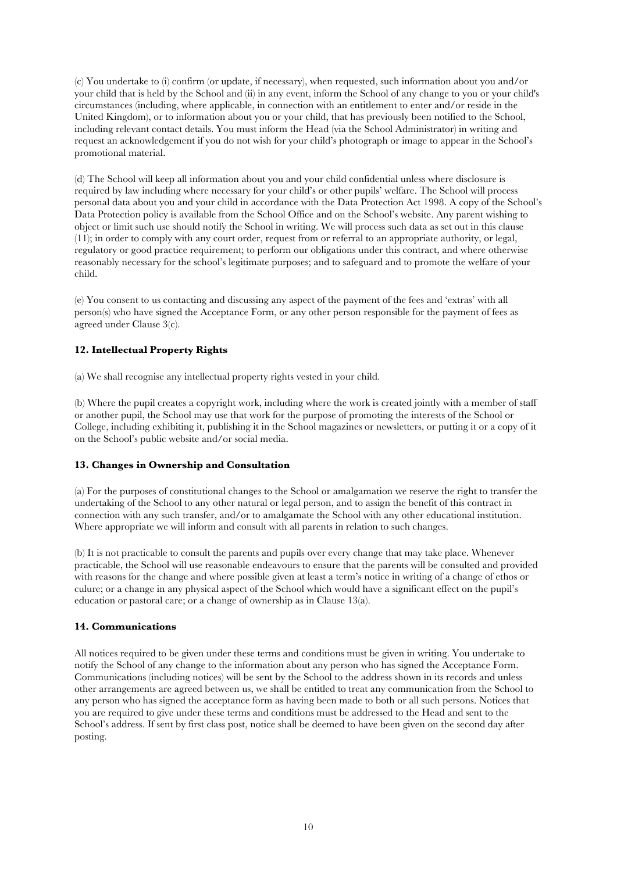(c) You undertake to (i) confirm (or update, if necessary), when requested, such information about you and/or your child that is held by the School and (ii) in any event, inform the School of any change to you or your child's circumstances (including, where applicable, in connection with an entitlement to enter and/or reside in the United Kingdom), or to information about you or your child, that has previously been notified to the School, including relevant contact details. You must inform the Head (via the School Administrator) in writing and request an acknowledgement if you do not wish for your child's photograph or image to appear in the School's promotional material.

(d) The School will keep all information about you and your child confidential unless where disclosure is required by law including where necessary for your child's or other pupils' welfare. The School will process personal data about you and your child in accordance with the Data Protection Act 1998. A copy of the School's Data Protection policy is available from the School Office and on the School's website. Any parent wishing to object or limit such use should notify the School in writing. We will process such data as set out in this clause (11); in order to comply with any court order, request from or referral to an appropriate authority, or legal, regulatory or good practice requirement; to perform our obligations under this contract, and where otherwise reasonably necessary for the school's legitimate purposes; and to safeguard and to promote the welfare of your child.

(e) You consent to us contacting and discussing any aspect of the payment of the fees and 'extras' with all person(s) who have signed the Acceptance Form, or any other person responsible for the payment of fees as agreed under Clause 3(c).

# **12. Intellectual Property Rights**

(a) We shall recognise any intellectual property rights vested in your child.

(b) Where the pupil creates a copyright work, including where the work is created jointly with a member of staff or another pupil, the School may use that work for the purpose of promoting the interests of the School or College, including exhibiting it, publishing it in the School magazines or newsletters, or putting it or a copy of it on the School's public website and/or social media.

## **13. Changes in Ownership and Consultation**

(a) For the purposes of constitutional changes to the School or amalgamation we reserve the right to transfer the undertaking of the School to any other natural or legal person, and to assign the benefit of this contract in connection with any such transfer, and/or to amalgamate the School with any other educational institution. Where appropriate we will inform and consult with all parents in relation to such changes.

(b) It is not practicable to consult the parents and pupils over every change that may take place. Whenever practicable, the School will use reasonable endeavours to ensure that the parents will be consulted and provided with reasons for the change and where possible given at least a term's notice in writing of a change of ethos or culure; or a change in any physical aspect of the School which would have a significant effect on the pupil's education or pastoral care; or a change of ownership as in Clause 13(a).

## **14. Communications**

All notices required to be given under these terms and conditions must be given in writing. You undertake to notify the School of any change to the information about any person who has signed the Acceptance Form. Communications (including notices) will be sent by the School to the address shown in its records and unless other arrangements are agreed between us, we shall be entitled to treat any communication from the School to any person who has signed the acceptance form as having been made to both or all such persons. Notices that you are required to give under these terms and conditions must be addressed to the Head and sent to the School's address. If sent by first class post, notice shall be deemed to have been given on the second day after posting.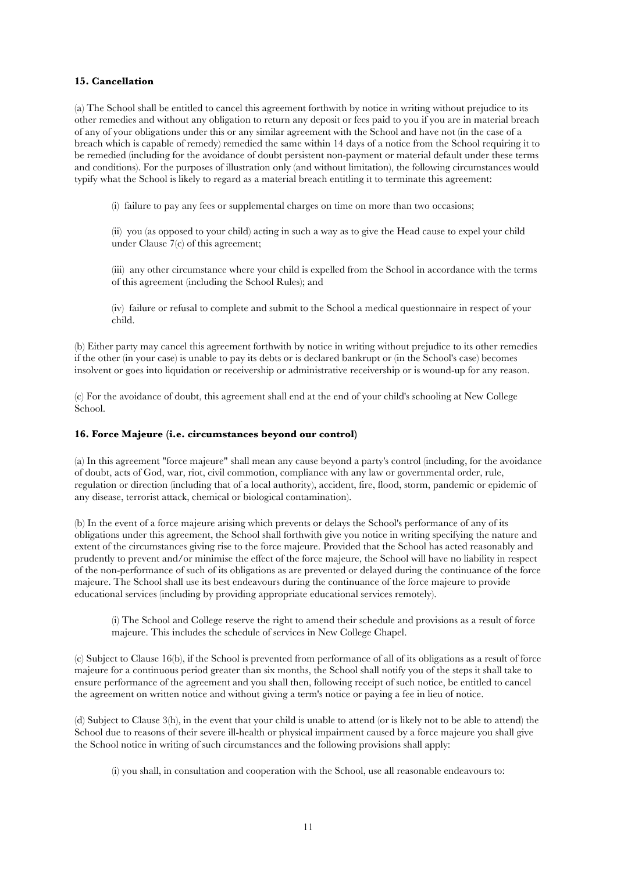## **15. Cancellation**

(a) The School shall be entitled to cancel this agreement forthwith by notice in writing without prejudice to its other remedies and without any obligation to return any deposit or fees paid to you if you are in material breach of any of your obligations under this or any similar agreement with the School and have not (in the case of a breach which is capable of remedy) remedied the same within 14 days of a notice from the School requiring it to be remedied (including for the avoidance of doubt persistent non-payment or material default under these terms and conditions). For the purposes of illustration only (and without limitation), the following circumstances would typify what the School is likely to regard as a material breach entitling it to terminate this agreement:

(i) failure to pay any fees or supplemental charges on time on more than two occasions;

(ii) you (as opposed to your child) acting in such a way as to give the Head cause to expel your child under Clause 7(c) of this agreement;

(iii) any other circumstance where your child is expelled from the School in accordance with the terms of this agreement (including the School Rules); and

(iv) failure or refusal to complete and submit to the School a medical questionnaire in respect of your child.

(b) Either party may cancel this agreement forthwith by notice in writing without prejudice to its other remedies if the other (in your case) is unable to pay its debts or is declared bankrupt or (in the School's case) becomes insolvent or goes into liquidation or receivership or administrative receivership or is wound-up for any reason.

(c) For the avoidance of doubt, this agreement shall end at the end of your child's schooling at New College School.

## **16. Force Majeure (i.e. circumstances beyond our control)**

(a) In this agreement "force majeure" shall mean any cause beyond a party's control (including, for the avoidance of doubt, acts of God, war, riot, civil commotion, compliance with any law or governmental order, rule, regulation or direction (including that of a local authority), accident, fire, flood, storm, pandemic or epidemic of any disease, terrorist attack, chemical or biological contamination).

(b) In the event of a force majeure arising which prevents or delays the School's performance of any of its obligations under this agreement, the School shall forthwith give you notice in writing specifying the nature and extent of the circumstances giving rise to the force majeure. Provided that the School has acted reasonably and prudently to prevent and/or minimise the effect of the force majeure, the School will have no liability in respect of the non-performance of such of its obligations as are prevented or delayed during the continuance of the force majeure. The School shall use its best endeavours during the continuance of the force majeure to provide educational services (including by providing appropriate educational services remotely).

(i) The School and College reserve the right to amend their schedule and provisions as a result of force majeure. This includes the schedule of services in New College Chapel.

(c) Subject to Clause 16(b), if the School is prevented from performance of all of its obligations as a result of force majeure for a continuous period greater than six months, the School shall notify you of the steps it shall take to ensure performance of the agreement and you shall then, following receipt of such notice, be entitled to cancel the agreement on written notice and without giving a term's notice or paying a fee in lieu of notice.

(d) Subject to Clause 3(h), in the event that your child is unable to attend (or is likely not to be able to attend) the School due to reasons of their severe ill-health or physical impairment caused by a force majeure you shall give the School notice in writing of such circumstances and the following provisions shall apply:

(i) you shall, in consultation and cooperation with the School, use all reasonable endeavours to: